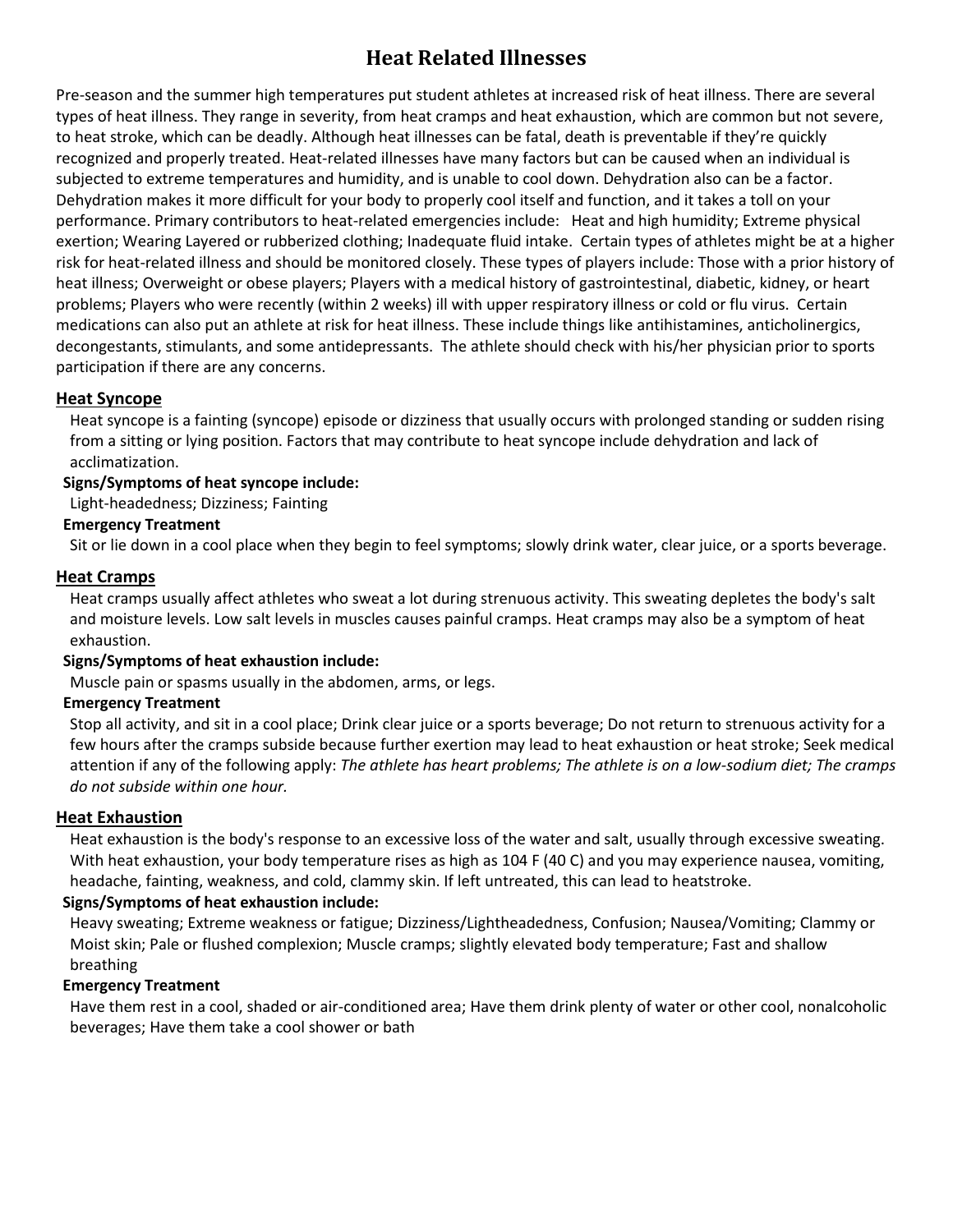# **Heat Related Illnesses**

Pre-season and the summer high temperatures put student athletes at increased risk of heat illness. There are several types of heat illness. They range in severity, from heat cramps and heat exhaustion, which are common but not severe, to heat stroke, which can be deadly. Although heat illnesses can be fatal, death is preventable if they're quickly recognized and properly treated. Heat-related illnesses have many factors but can be caused when an individual is subjected to extreme temperatures and humidity, and is unable to cool down. Dehydration also can be a factor. Dehydration makes it more difficult for your body to properly cool itself and function, and it takes a toll on your performance. Primary contributors to heat-related emergencies include: Heat and high humidity; Extreme physical exertion; Wearing Layered or rubberized clothing; Inadequate fluid intake. Certain types of athletes might be at a higher risk for heat-related illness and should be monitored closely. These types of players include: Those with a prior history of heat illness; Overweight or obese players; Players with a medical history of gastrointestinal, diabetic, kidney, or heart problems; Players who were recently (within 2 weeks) ill with upper respiratory illness or cold or flu virus. Certain medications can also put an athlete at risk for heat illness. These include things like antihistamines, anticholinergics, decongestants, stimulants, and some antidepressants. The athlete should check with his/her physician prior to sports participation if there are any concerns.

### **Heat Syncope**

Heat syncope is a fainting (syncope) episode or dizziness that usually occurs with prolonged standing or sudden rising from a sitting or lying position. Factors that may contribute to heat syncope include dehydration and lack of acclimatization.

## **Signs/Symptoms of heat syncope include:**

Light-headedness; Dizziness; Fainting

## **Emergency Treatment**

Sit or lie down in a cool place when they begin to feel symptoms; slowly drink water, clear juice, or a sports beverage.

## **Heat Cramps**

Heat cramps usually affect athletes who sweat a lot during strenuous activity. This sweating depletes the body's salt and moisture levels. Low salt levels in muscles causes painful cramps. Heat cramps may also be a symptom of heat exhaustion.

### **Signs/Symptoms of heat exhaustion include:**

Muscle pain or spasms usually in the abdomen, arms, or legs.

### **Emergency Treatment**

Stop all activity, and sit in a cool place; Drink clear juice or a sports beverage; Do not return to strenuous activity for a few hours after the cramps subside because further exertion may lead to heat exhaustion or heat stroke; Seek medical attention if any of the following apply: *The athlete has heart problems; The athlete is on a low-sodium diet; The cramps do not subside within one hour.*

### **Heat Exhaustion**

Heat exhaustion is the body's response to an excessive loss of the water and salt, usually through excessive sweating. With [heat exhaustion,](http://www.mayoclinic.org/healthy-living/fitness/in-depth/exercise/art-20048167?pg=1%20%20) your body temperature rises as high as 104 F (40 C) and you may experience nausea, vomiting, headache, fainting, weakness, and cold, clammy skin. If left untreated, this can lead to heatstroke.

## **Signs/Symptoms of heat exhaustion include:**

Heavy sweating; Extreme weakness or fatigue; Dizziness/Lightheadedness, Confusion; Nausea/Vomiting; Clammy or Moist skin; Pale or flushed complexion; Muscle cramps; slightly elevated body temperature; Fast and shallow breathing

### **Emergency Treatment**

Have them rest in a cool, shaded or air-conditioned area; Have them drink plenty of water or other cool, nonalcoholic beverages; Have them take a cool shower or bath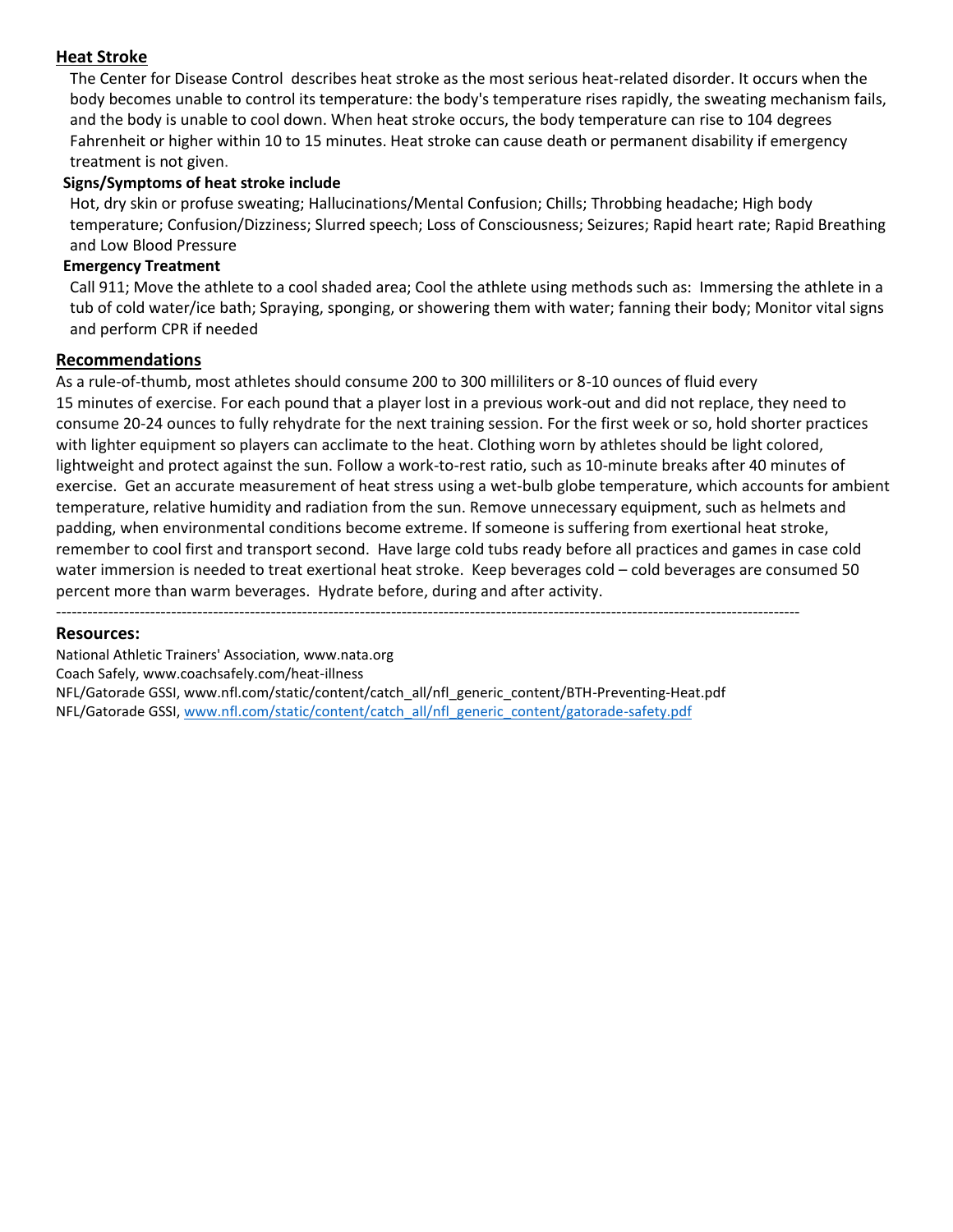## **Heat Stroke**

[The Center for Disease Control](http://www.cdc.gov/niosh/topics/heatstress/) describes heat stroke as the most serious heat-related disorder. It occurs when the body becomes unable to control its temperature: the body's temperature rises rapidly, the sweating mechanism fails, and the body is unable to cool down. When heat stroke occurs, the body temperature can rise to 104 degrees Fahrenheit or higher within 10 to 15 minutes. Heat stroke can cause death or permanent disability if emergency treatment is not given.

## **Signs/Symptoms of heat stroke include**

Hot, dry skin or profuse sweating; Hallucinations/Mental Confusion; Chills; Throbbing headache; High body temperature; Confusion/Dizziness; Slurred speech; Loss of Consciousness; Seizures; Rapid heart rate; Rapid Breathing and Low Blood Pressure

## **Emergency Treatment**

Call 911; Move the athlete to a cool shaded area; Cool the athlete using methods such as: Immersing the athlete in a tub of cold water/ice bath; Spraying, sponging, or showering them with water; fanning their body; Monitor vital signs and perform CPR if needed

### **Recommendations**

As a rule-of-thumb, most athletes should consume 200 to 300 milliliters or 8-10 ounces of fluid every 15 minutes of exercise. For each pound that a player lost in a previous work-out and did not replace, they need to consume 20-24 ounces to fully rehydrate for the next training session. For the first week or so, hold shorter practices with lighter equipment so players can acclimate to the heat. Clothing worn by athletes should be light colored, lightweight and protect against the sun. Follow a work-to-rest ratio, such as 10-minute breaks after 40 minutes of exercise. Get an accurate measurement of heat stress using a wet-bulb globe temperature, which accounts for ambient temperature, relative humidity and radiation from the sun. Remove unnecessary equipment, such as helmets and padding, when environmental conditions become extreme. If someone is suffering from exertional heat stroke, remember to cool first and transport second. Have large cold tubs ready before all practices and games in case cold water immersion is needed to treat exertional heat stroke. Keep beverages cold – cold beverages are consumed 50 percent more than warm beverages. Hydrate before, during and after activity.

----------------------------------------------------------------------------------------------------------------------------------------------

### **Resources:**

National Athletic Trainers' Association, www.nata.org Coach Safely, www.coachsafely.com/heat-illness NFL/Gatorade GSSI, www.nfl.com/static/content/catch\_all/nfl\_generic\_content/BTH-Preventing-Heat.pdf NFL/Gatorade GSSI, [www.nfl.com/static/content/catch\\_all/nfl\\_generic\\_content/gatorade-safety.pdf](http://www.nfl.com/static/content/catch_all/nfl_generic_content/gatorade-safety.pdf)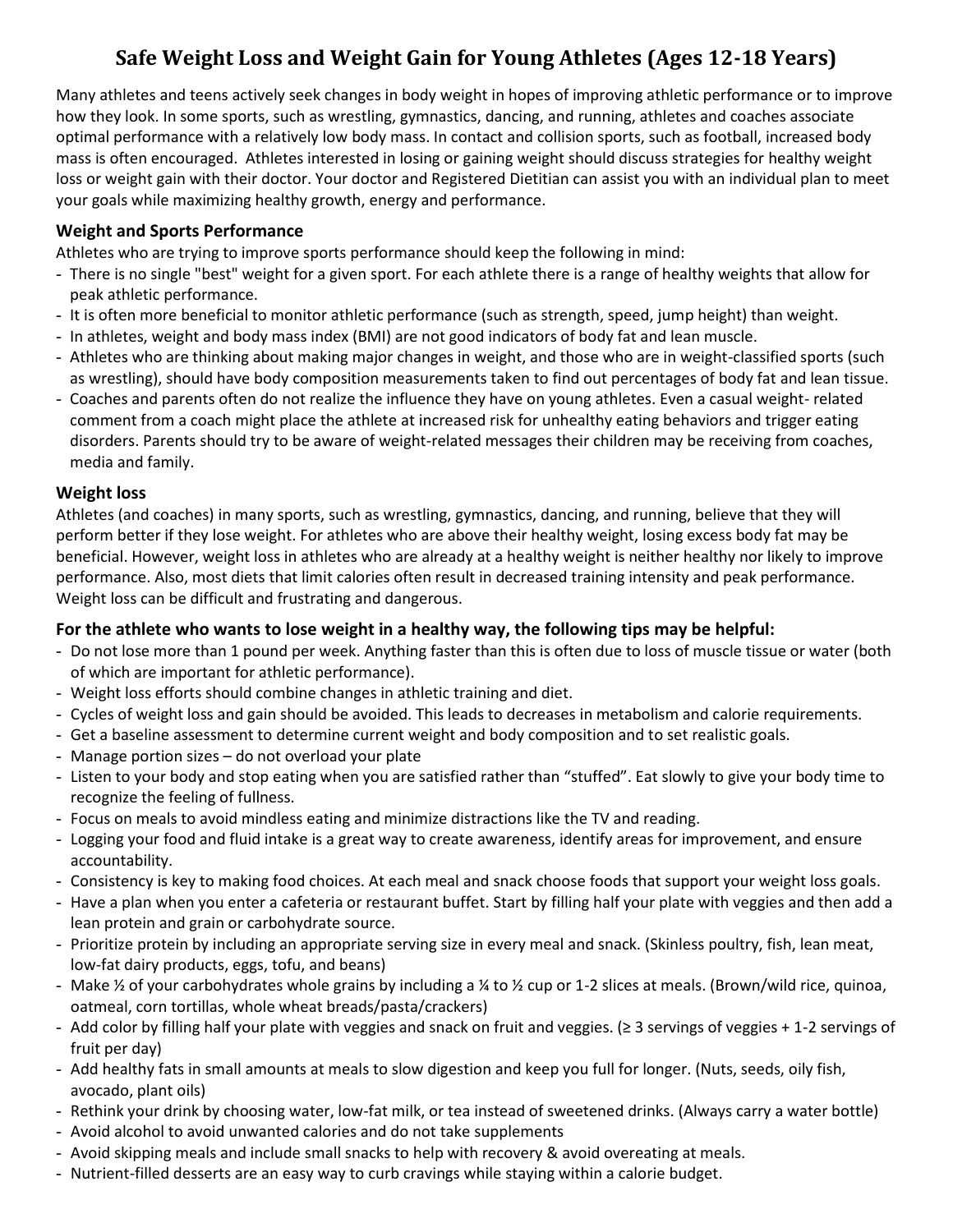# **Safe Weight Loss and Weight Gain for Young Athletes (Ages 12-18 Years)**

Many athletes and teens actively seek changes in body weight in hopes of improving athletic performance or to improve how they look. In some sports, such a[s wrestling,](https://www.healthychildren.org/English/healthy-living/sports/Pages/Wrestling.aspx) [gymnastics,](https://www.healthychildren.org/English/healthy-living/sports/Pages/Gymnastics.aspx) [dancing,](https://www.healthychildren.org/English/healthy-living/sports/Pages/Ballet-and-Dance.aspx) an[d running,](https://www.healthychildren.org/English/healthy-living/sports/Pages/Running.aspx) athletes and [coaches](https://www.healthychildren.org/English/healthy-living/sports/Pages/Coaching.aspx) associate optimal performance with a relatively low [body mass.](https://www.healthychildren.org/English/health-issues/conditions/obesity/Pages/Body-Mass-Index-Formula.aspx) In contact and collision sports, such as [football,](https://www.healthychildren.org/English/healthy-living/sports/Pages/Football.aspx) increased body mass is often encouraged. Athletes interested in losing or gaining weight should discuss strategies fo[r healthy weight](https://www.healthychildren.org/English/health-issues/conditions/obesity/Pages/Losing-Weight-Safely-Sensibly-Successfully.aspx)  [loss o](https://www.healthychildren.org/English/health-issues/conditions/obesity/Pages/Losing-Weight-Safely-Sensibly-Successfully.aspx)r weight gain with their doctor. Your doctor and Registered Dietitian can assist you with an individual plan to meet your goals while maximizing healthy growth, energy and performance.

# **Weight and Sports Performance**

Athletes who are trying to improve [sports performance](https://www.healthychildren.org/English/ages-stages/gradeschool/fitness/Pages/Sports-Performance-and-Ability-in-School-Age-Children.aspx) should keep the following in mind:

- There is no single "best" weight for a given sport. For each athlete there is a range of healthy weights that allow for peak athletic performance.
- It is often more beneficial to monitor athletic performance (such as strength, speed, jump height) than weight.
- In athletes, weight and body mass index (BMI) are not good indicators of body fat and lean muscle.
- Athletes who are thinking about making major changes in weight, and those who are in weight-classified sports (such as wrestling), should have body composition measurements taken to find out percentages of body fat and lean tissue.
- Coaches and parents often do not realize the influence they have on young athletes. Even a casual weight- related comment from a coach might place the athlete at increased risk for unhealthy eating behaviors and trigger eating disorders. Parents should try to be aware of weight-related messages their children may be receiving from coaches, media and family.

# **Weight loss**

Athletes (and coaches) in many sports, such as wrestling, gymnastics, dancing, and running, believe that they will perform better if they lose weight. For athletes who are above their healthy weight, losing excess body fat may be beneficial. However, weight loss in athletes who are already at a healthy weight is neither healthy nor likely to improve performance. Also, most diets that limit calories often result in decreased training intensity and peak performance. Weight loss can be difficult and frustrating and dangerous.

# **For the athlete who wants to lose weight in a healthy way, the following tips may be helpful:**

- Do not lose more than 1 pound per week. Anything faster than this is often due to loss of muscle tissue or water (both of which are important for athletic performance).
- Weight loss efforts should combine changes in athletic training and diet.
- Cycles of weight loss and gain should be avoided. This leads to decreases in metabolism and calorie requirements.
- Get a baseline assessment to determine current weight and body composition and to set realistic goals.
- Manage portion sizes do not overload your plate
- Listen to your body and stop eating when you are satisfied rather than "stuffed". Eat slowly to give your body time to recognize the feeling of fullness.
- Focus on meals to avoid mindless eating and minimize distractions like the TV and reading.
- Logging your food and fluid intake is a great way to create awareness, identify areas for improvement, and ensure accountability.
- Consistency is key to making food choices. At each meal and snack choose foods that support your weight loss goals.
- Have a plan when you enter a cafeteria or restaurant buffet. Start by filling half your plate with veggies and then add a lean protein and grain or carbohydrate source.
- Prioritize protein by including an appropriate serving size in every meal and snack. (Skinless poultry, fish, lean meat, low-fat dairy products, eggs, tofu, and beans)
- Make  $\frac{1}{2}$  of your carbohydrates whole grains by including a  $\frac{1}{2}$  to  $\frac{1}{2}$  cup or 1-2 slices at meals. (Brown/wild rice, quinoa, oatmeal, corn tortillas, whole wheat breads/pasta/crackers)
- Add color by filling half your plate with veggies and snack on fruit and veggies. (≥ 3 servings of veggies + 1-2 servings of fruit per day)
- Add healthy fats in small amounts at meals to slow digestion and keep you full for longer. (Nuts, seeds, oily fish, avocado, plant oils)
- Rethink your drink by choosing water, low-fat milk, or tea instead of sweetened drinks. (Always carry a water bottle)
- Avoid alcohol to avoid unwanted calories and do not take supplements
- Avoid skipping meals and include small snacks to help with recovery & avoid overeating at meals.
- Nutrient-filled desserts are an easy way to curb cravings while staying within a calorie budget.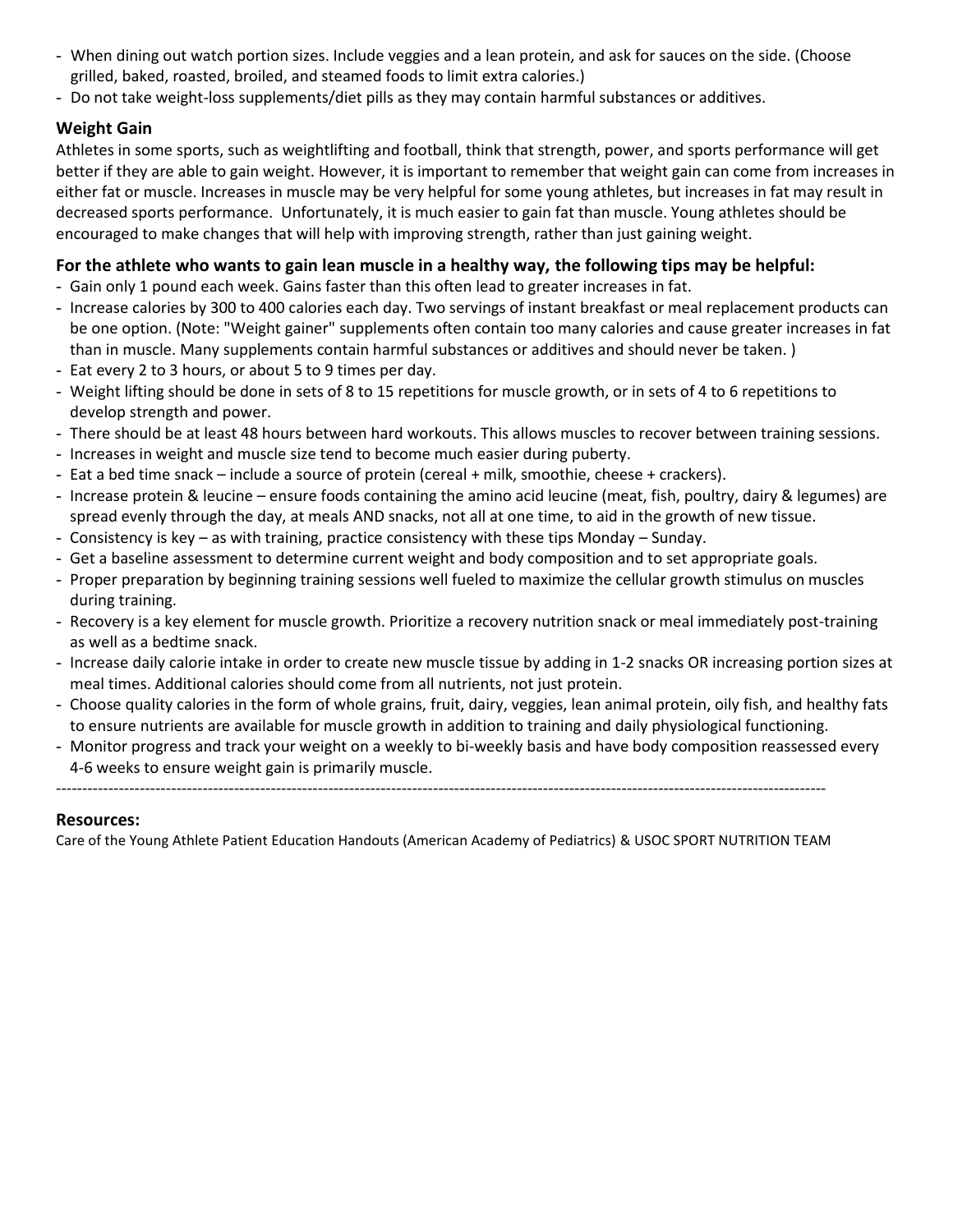- When dining out watch portion sizes. Include veggies and a lean protein, and ask for sauces on the side. (Choose grilled, baked, roasted, broiled, and steamed foods to limit extra calories.)
- Do not take weight-loss supplements/diet pills as they may contain harmful substances or additives.

# **Weight Gain**

Athletes in some sports, such a[s weightlifting](https://www.healthychildren.org/English/healthy-living/fitness/Pages/Weight-Training-and-Lifting.aspx) and football, think that strength, power, and sports performance will get better if they are able to gain weight. However, it is important to remember that weight gain can come from increases in either fat or muscle. Increases in muscle may be very helpful for some young athletes, but increases in fat may result in decreased sports performance. Unfortunately, it is much easier to gain fat than muscle. Young athletes should be encouraged to make changes that will help with improving strength, rather than just gaining weight.

# **For the athlete who wants to gain lean muscle in a healthy way, the following tips may be helpful:**

- Gain only 1 pound each week. Gains faster than this often lead to greater increases in fat.
- Increase calories by 300 to 400 calories each day. Two servings of instant breakfast or meal replacement products can be one option. (Note: "Weight gainer" [supplements](https://www.healthychildren.org/English/healthy-living/sports/Pages/Sports-Supplements.aspx) often contain too many calories and cause greater increases in fat than in muscle. Many supplements contain harmful substances or additives and should never be taken. )
- Eat every 2 to 3 hours, or about 5 to 9 times per day.
- Weight lifting should be done in sets of 8 to 15 repetitions for muscle growth, or in sets of 4 to 6 repetitions to develop strength and power.
- There should be at least 48 hours between hard workouts. This allows muscles to recover between training sessions.
- Increases in weight and muscle size tend to become much easier during puberty.
- Eat a bed time snack include a source of protein (cereal + milk, smoothie, cheese + crackers).
- Increase protein & leucine ensure foods containing the amino acid leucine (meat, fish, poultry, dairy & legumes) are spread evenly through the day, at meals AND snacks, not all at one time, to aid in the growth of new tissue.
- Consistency is key as with training, practice consistency with these tips Monday Sunday.
- Get a baseline assessment to determine current weight and body composition and to set appropriate goals.
- Proper preparation by beginning training sessions well fueled to maximize the cellular growth stimulus on muscles during training.
- Recovery is a key element for muscle growth. Prioritize a recovery nutrition snack or meal immediately post-training as well as a bedtime snack.
- Increase daily calorie intake in order to create new muscle tissue by adding in 1-2 snacks OR increasing portion sizes at meal times. Additional calories should come from all nutrients, not just protein.
- Choose quality calories in the form of whole grains, fruit, dairy, veggies, lean animal protein, oily fish, and healthy fats to ensure nutrients are available for muscle growth in addition to training and daily physiological functioning.
- Monitor progress and track your weight on a weekly to bi-weekly basis and have body composition reassessed every 4-6 weeks to ensure weight gain is primarily muscle.

---------------------------------------------------------------------------------------------------------------------------------------------------

## **Resources:**

Care of the Young Athlete Patient Education Handouts (American Academy of Pediatrics) & USOC SPORT NUTRITION TEAM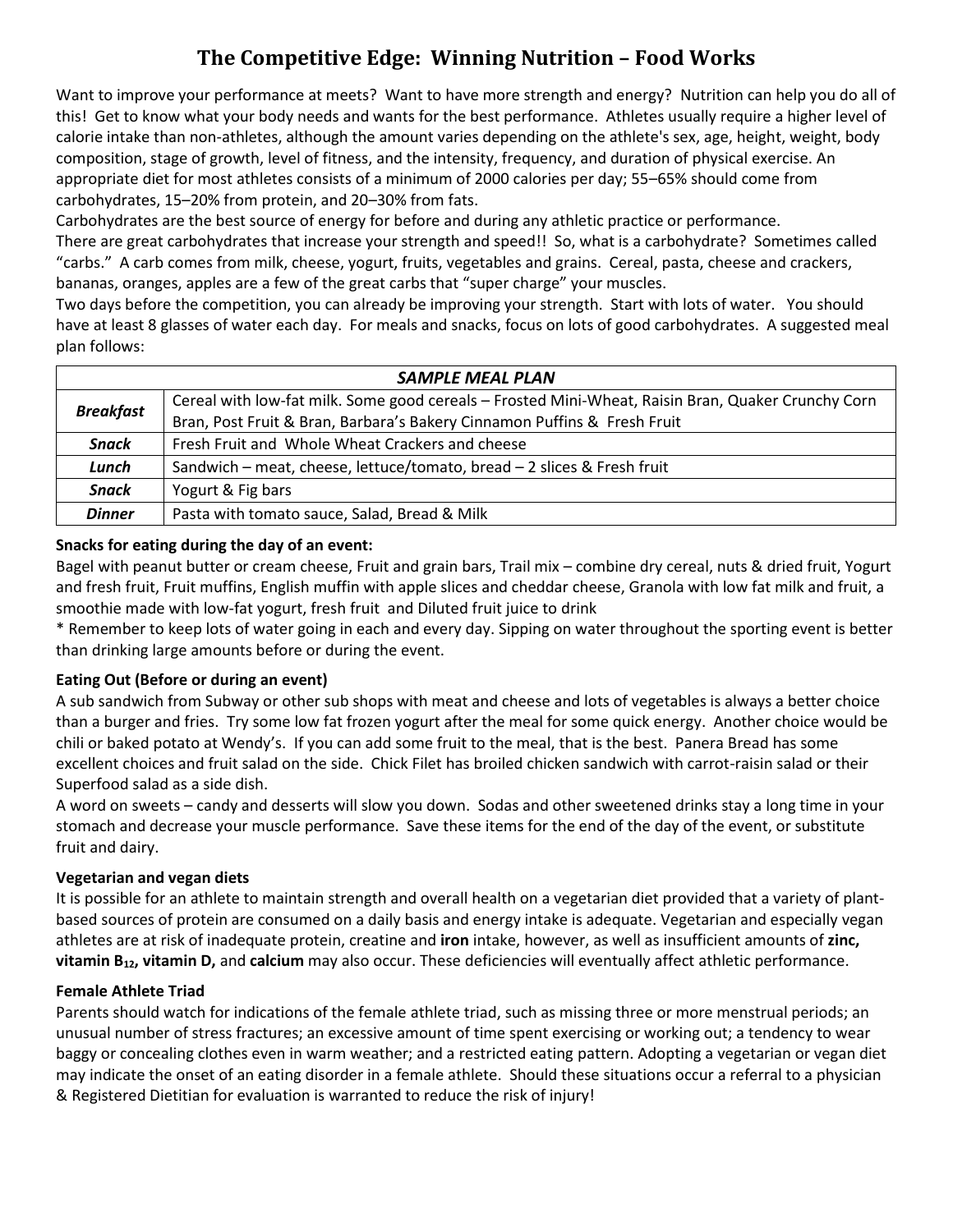# **The Competitive Edge: Winning Nutrition – Food Works**

Want to improve your performance at meets? Want to have more strength and energy? Nutrition can help you do all of this! Get to know what your body needs and wants for the best performance. Athletes usually require a higher level of calorie intake than non-athletes, although the amount varies depending on the athlete's sex, age, height, weight, body composition, stage of growth, level of fitness, and the intensity, frequency, and duration of physical exercise. An appropriate diet for most athletes consists of a minimum of 2000 calories per day; 55–65% should come from carbohydrates, 15–20% from protein, and 20–30% from fats.

Carbohydrates are the best source of energy for before and during any athletic practice or performance.

There are great carbohydrates that increase your strength and speed!! So, what is a carbohydrate? Sometimes called "carbs." A carb comes from milk, cheese, yogurt, fruits, vegetables and grains. Cereal, pasta, cheese and crackers, bananas, oranges, apples are a few of the great carbs that "super charge" your muscles.

Two days before the competition, you can already be improving your strength. Start with lots of water. You should have at least 8 glasses of water each day. For meals and snacks, focus on lots of good carbohydrates. A suggested meal plan follows:

| <b>SAMPLE MEAL PLAN</b> |                                                                                                    |  |
|-------------------------|----------------------------------------------------------------------------------------------------|--|
| <b>Breakfast</b>        | Cereal with low-fat milk. Some good cereals - Frosted Mini-Wheat, Raisin Bran, Quaker Crunchy Corn |  |
|                         | Bran, Post Fruit & Bran, Barbara's Bakery Cinnamon Puffins & Fresh Fruit                           |  |
| <b>Snack</b>            | Fresh Fruit and Whole Wheat Crackers and cheese                                                    |  |
| Lunch                   | Sandwich – meat, cheese, lettuce/tomato, bread – 2 slices & Fresh fruit                            |  |
| <b>Snack</b>            | Yogurt & Fig bars                                                                                  |  |
| <b>Dinner</b>           | Pasta with tomato sauce, Salad, Bread & Milk                                                       |  |

### **Snacks for eating during the day of an event:**

Bagel with peanut butter or cream cheese, Fruit and grain bars, Trail mix – combine dry cereal, nuts & dried fruit, Yogurt and fresh fruit, Fruit muffins, English muffin with apple slices and cheddar cheese, Granola with low fat milk and fruit, a smoothie made with low-fat yogurt, fresh fruit and Diluted fruit juice to drink

\* Remember to keep lots of water going in each and every day. Sipping on water throughout the sporting event is better than drinking large amounts before or during the event.

## **Eating Out (Before or during an event)**

A sub sandwich from Subway or other sub shops with meat and cheese and lots of vegetables is always a better choice than a burger and fries. Try some low fat frozen yogurt after the meal for some quick energy. Another choice would be chili or baked potato at Wendy's. If you can add some fruit to the meal, that is the best. Panera Bread has some excellent choices and fruit salad on the side. Chick Filet has broiled chicken sandwich with carrot-raisin salad or their Superfood salad as a side dish.

A word on sweets – candy and desserts will slow you down. Sodas and other sweetened drinks stay a long time in your stomach and decrease your muscle performance. Save these items for the end of the day of the event, or substitute fruit and dairy.

## **Vegetarian and vegan diets**

It is possible for an athlete to maintain strength and overall health on a vegetarian diet provided that a variety of plantbased sources of protein are consumed on a daily basis and energy intake is adequate. Vegetarian and especially vegan athletes are at risk of inadequate protein, creatine and **iron** intake, however, as well as insufficient amounts of **zinc, vitamin B12, vitamin D,** and **calcium** may also occur. These deficiencies will eventually affect athletic performance.

### **Female Athlete Triad**

Parents should watch for indications of the female athlete triad, such as missing three or more menstrual periods; an unusual number of stress fractures; an excessive amount of time spent exercising or working out; a tendency to wear baggy or concealing clothes even in warm weather; and a restricted eating pattern. Adopting a vegetarian or vegan diet may indicate the onset of an eating disorder in a female athlete. Should these situations occur a referral to a physician & Registered Dietitian for evaluation is warranted to reduce the risk of injury!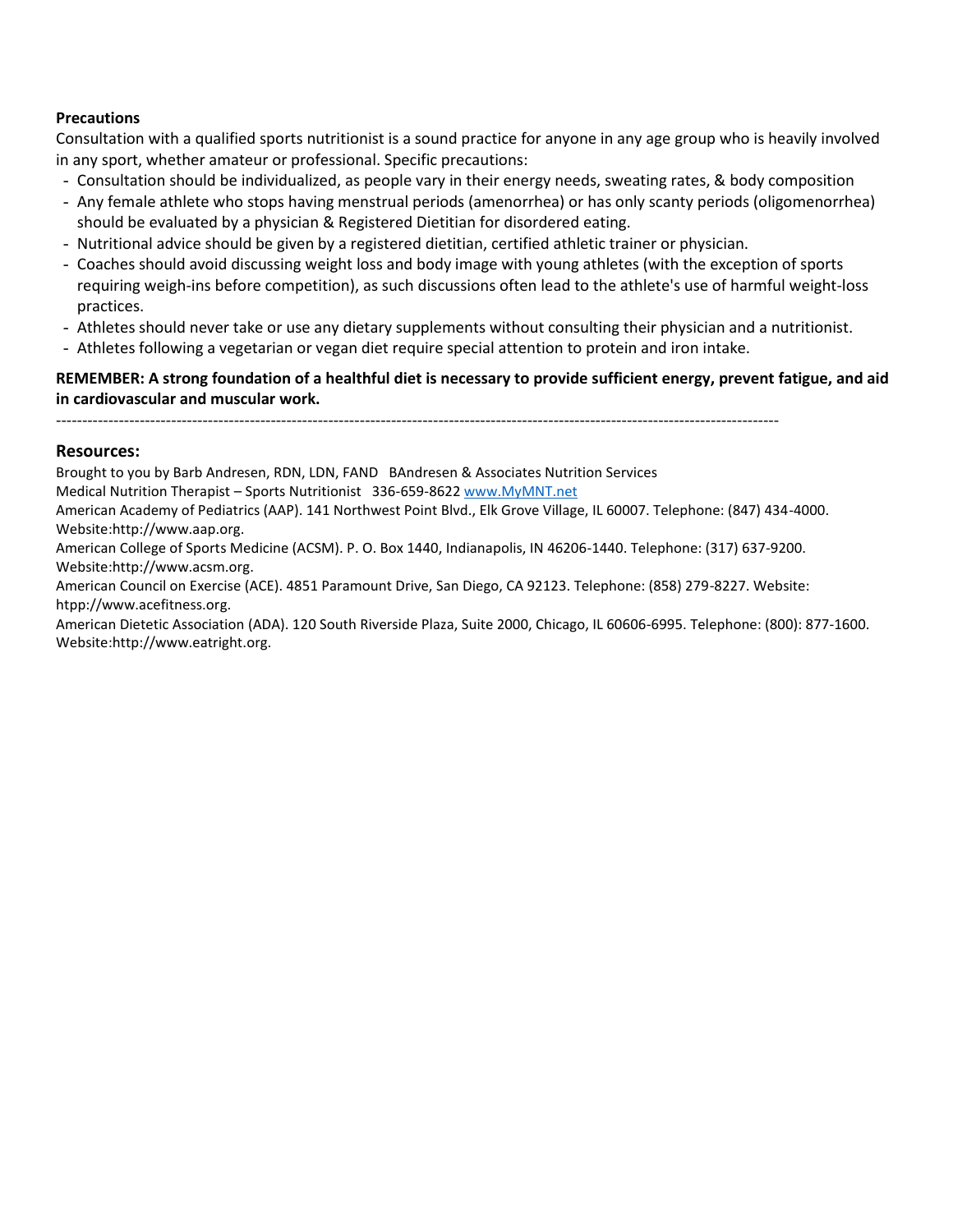### **Precautions**

Consultation with a qualified sports nutritionist is a sound practice for anyone in any age group who is heavily involved in any sport, whether amateur or professional. Specific precautions:

- Consultation should be individualized, as people vary in their energy needs, sweating rates, & body composition
- Any female athlete who stops having menstrual periods (amenorrhea) or has only scanty periods (oligomenorrhea) should be evaluated by a physician & Registered Dietitian for disordered eating.
- Nutritional advice should be given by a registered dietitian, certified athletic trainer or physician.
- Coaches should avoid discussing weight loss and body image with young athletes (with the exception of sports requiring weigh-ins before competition), as such discussions often lead to the athlete's use of harmful weight-loss practices.
- Athletes should never take or use any dietary supplements without consulting their physician and a nutritionist.
- Athletes following a vegetarian or vegan diet require special attention to protein and iron intake.

## **REMEMBER: A strong foundation of a healthful diet is necessary to provide sufficient energy, prevent fatigue, and aid in cardiovascular and muscular work.**

------------------------------------------------------------------------------------------------------------------------------------------

#### **Resources:**

Brought to you by Barb Andresen, RDN, LDN, FAND BAndresen & Associates Nutrition Services

Medical Nutrition Therapist – Sports Nutritionist 336-659-8622 [www.MyMNT.net](http://www.mymnt.net/)

American Academy of Pediatrics (AAP). 141 Northwest Point Blvd., Elk Grove Village, IL 60007. Telephone: (847) 434-4000. Website:http://www.aap.org.

American College of Sports Medicine (ACSM). P. O. Box 1440, Indianapolis, IN 46206-1440. Telephone: (317) 637-9200. Website:http://www.acsm.org.

American Council on Exercise (ACE). 4851 Paramount Drive, San Diego, CA 92123. Telephone: (858) 279-8227. Website: htpp://www.acefitness.org.

American Dietetic Association (ADA). 120 South Riverside Plaza, Suite 2000, Chicago, IL 60606-6995. Telephone: (800): 877-1600. Website:http://www.eatright.org.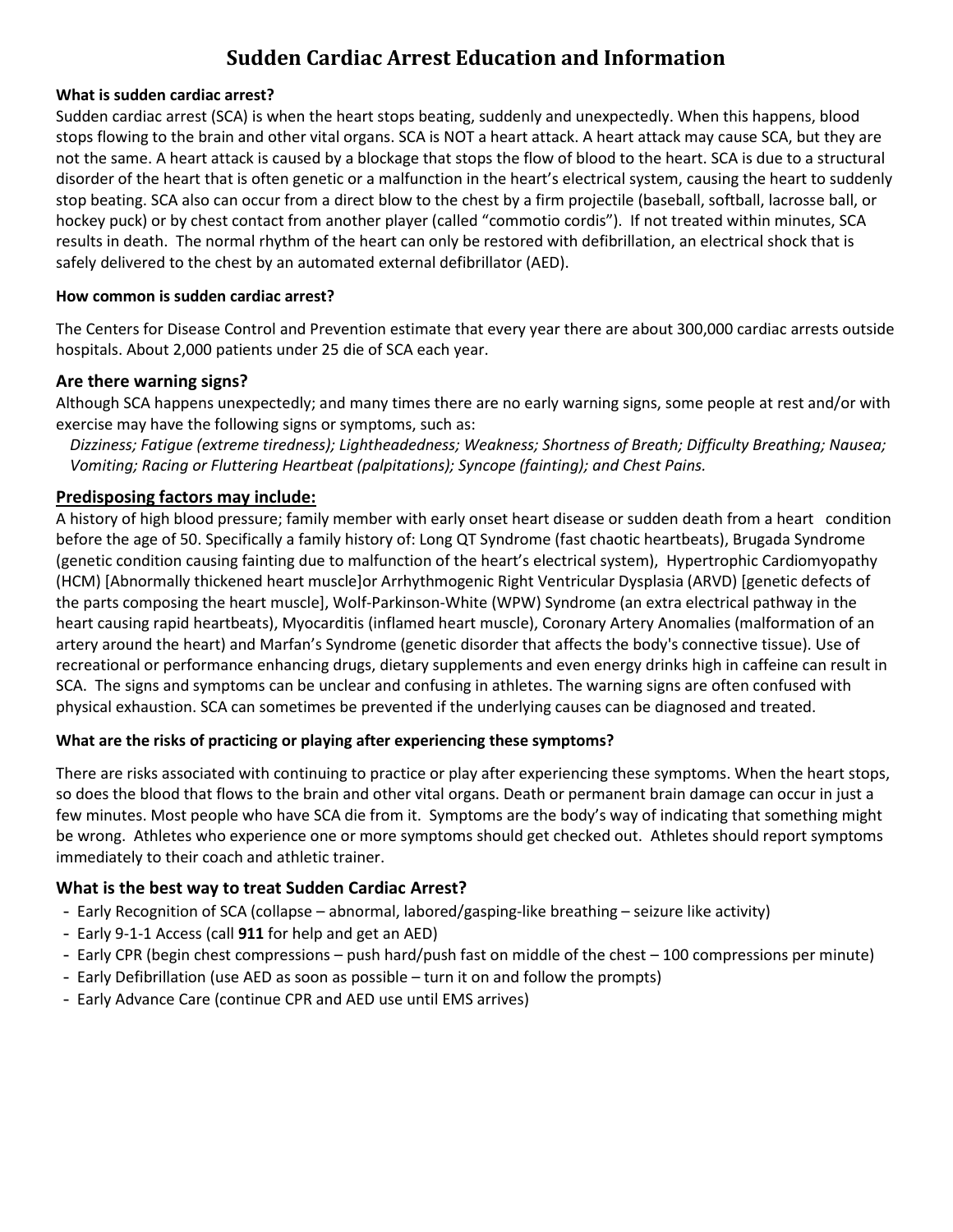# **Sudden Cardiac Arrest Education and Information**

#### **What is sudden cardiac arrest?**

Sudden cardiac arrest (SCA) is when the heart stops beating, suddenly and unexpectedly. When this happens, blood stops flowing to the brain and other vital organs. SCA is NOT a heart attack. A heart attack may cause SCA, but they are not the same. A heart attack is caused by a blockage that stops the flow of blood to the heart. SCA is due to a structural disorder of the heart that is often genetic or a malfunction in the heart's electrical system, causing the heart to suddenly stop beating. SCA also can occur from a direct blow to the chest by a firm projectile (baseball, softball, lacrosse ball, or hockey puck) or by chest contact from another player (called "commotio cordis"). If not treated within minutes, SCA results in death. The normal rhythm of the heart can only be restored with defibrillation, an electrical shock that is safely delivered to the chest by an automated external defibrillator (AED).

#### **How common is sudden cardiac arrest?**

The Centers for Disease Control and Prevention estimate that every year there are about 300,000 cardiac arrests outside hospitals. About 2,000 patients under 25 die of SCA each year.

### **Are there warning signs?**

Although SCA happens unexpectedly; and many times there are no early warning signs, some people at rest and/or with exercise may have the following signs or symptoms, such as:

*Dizziness; Fatigue (extreme tiredness); Lightheadedness; Weakness; Shortness of Breath; Difficulty Breathing; Nausea; Vomiting; Racing or Fluttering Heartbeat (palpitations); Syncope (fainting); and Chest Pains.*

## **Predisposing factors may include:**

A history of high blood pressure; family member with early onset heart disease or sudden death from a heart condition before the age of 50. Specifically a family history of: Long QT Syndrome (fast chaotic heartbeats), Brugada Syndrome (genetic condition causing fainting due to malfunction of the heart's electrical system), Hypertrophic Cardiomyopathy (HCM) [Abnormally thickened heart muscle]or Arrhythmogenic Right Ventricular Dysplasia (ARVD) [genetic defects of the parts composing the heart muscle], Wolf-Parkinson-White (WPW) Syndrome (an extra electrical pathway in the heart causing rapid heartbeats), Myocarditis (inflamed heart muscle), Coronary Artery Anomalies (malformation of an artery around the heart) and Marfan's Syndrome (genetic disorder that affects the body's connective tissue). Use of recreational or performance enhancing drugs, dietary supplements and even energy drinks high in caffeine can result in SCA. The signs and symptoms can be unclear and confusing in athletes. The warning signs are often confused with physical exhaustion. SCA can sometimes be prevented if the underlying causes can be diagnosed and treated.

### **What are the risks of practicing or playing after experiencing these symptoms?**

There are risks associated with continuing to practice or play after experiencing these symptoms. When the heart stops, so does the blood that flows to the brain and other vital organs. Death or permanent brain damage can occur in just a few minutes. Most people who have SCA die from it. Symptoms are the body's way of indicating that something might be wrong. Athletes who experience one or more symptoms should get checked out. Athletes should report symptoms immediately to their coach and athletic trainer.

## **What is the best way to treat Sudden Cardiac Arrest?**

- Early Recognition of SCA (collapse abnormal, labored/gasping-like breathing seizure like activity)
- Early 9-1-1 Access (call **911** for help and get an AED)
- Early CPR (begin chest compressions push hard/push fast on middle of the chest 100 compressions per minute)
- Early Defibrillation (use AED as soon as possible turn it on and follow the prompts)
- Early Advance Care (continue CPR and AED use until EMS arrives)